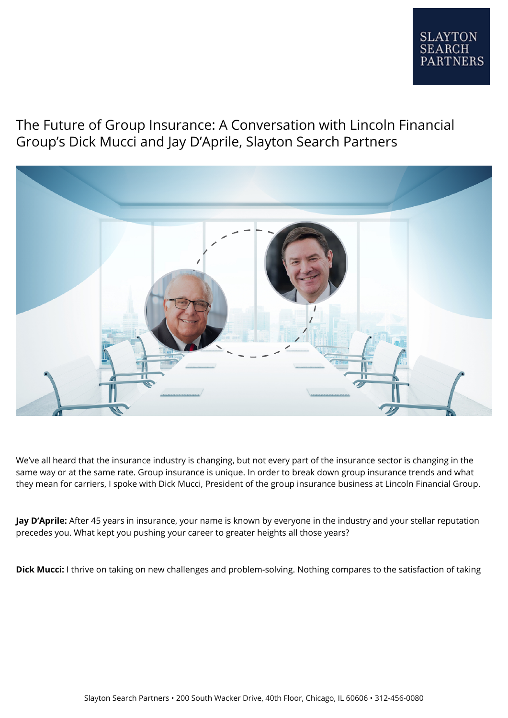## The Future of Group Insurance: A Conversation with Lincoln Financial Group's Dick Mucci and Jay D'Aprile, Slayton Search Partners



We've all heard that the insurance industry is changing, but not every part of the insurance sector is changing in the same way or at the same rate. Group insurance is unique. In order to break down group insurance trends and what they mean for carriers, I spoke with Dick Mucci, President of the group insurance business at Lincoln Financial Group.

**Jay D'Aprile:** After 45 years in insurance, your name is known by everyone in the industry and your stellar reputation precedes you. What kept you pushing your career to greater heights all those years?

**Dick Mucci:** I thrive on taking on new challenges and problem-solving. Nothing compares to the satisfaction of taking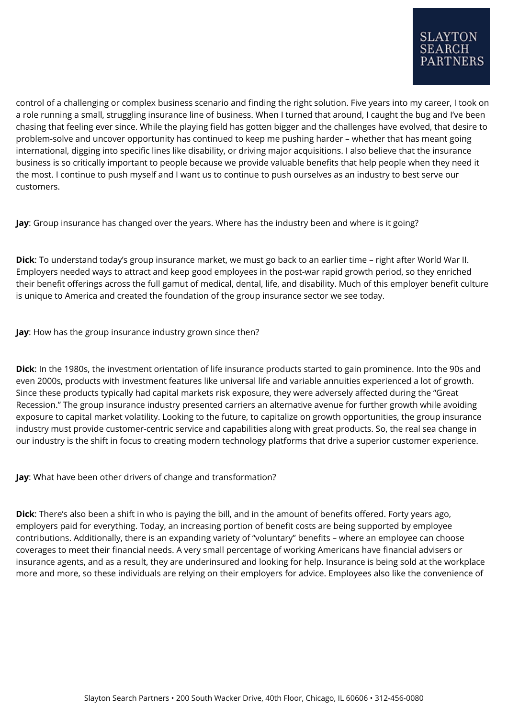control of a challenging or complex business scenario and finding the right solution. Five years into my career, I took on a role running a small, struggling insurance line of business. When I turned that around, I caught the bug and I've been chasing that feeling ever since. While the playing field has gotten bigger and the challenges have evolved, that desire to problem-solve and uncover opportunity has continued to keep me pushing harder – whether that has meant going international, digging into specific lines like disability, or driving major acquisitions. I also believe that the insurance business is so critically important to people because we provide valuable benefits that help people when they need it the most. I continue to push myself and I want us to continue to push ourselves as an industry to best serve our customers.

**Jay**: Group insurance has changed over the years. Where has the industry been and where is it going?

**Dick**: To understand today's group insurance market, we must go back to an earlier time – right after World War II. Employers needed ways to attract and keep good employees in the post-war rapid growth period, so they enriched their benefit offerings across the full gamut of medical, dental, life, and disability. Much of this employer benefit culture is unique to America and created the foundation of the group insurance sector we see today.

**Jay**: How has the group insurance industry grown since then?

**Dick**: In the 1980s, the investment orientation of life insurance products started to gain prominence. Into the 90s and even 2000s, products with investment features like universal life and variable annuities experienced a lot of growth. Since these products typically had capital markets risk exposure, they were adversely affected during the "Great Recession." The group insurance industry presented carriers an alternative avenue for further growth while avoiding exposure to capital market volatility. Looking to the future, to capitalize on growth opportunities, the group insurance industry must provide customer-centric service and capabilities along with great products. So, the real sea change in our industry is the shift in focus to creating modern technology platforms that drive a superior customer experience.

**Jay**: What have been other drivers of change and transformation?

**Dick**: There's also been a shift in who is paying the bill, and in the amount of benefits offered. Forty years ago, employers paid for everything. Today, an increasing portion of benefit costs are being supported by employee contributions. Additionally, there is an expanding variety of "voluntary" benefits – where an employee can choose coverages to meet their financial needs. A very small percentage of working Americans have financial advisers or insurance agents, and as a result, they are underinsured and looking for help. Insurance is being sold at the workplace more and more, so these individuals are relying on their employers for advice. Employees also like the convenience of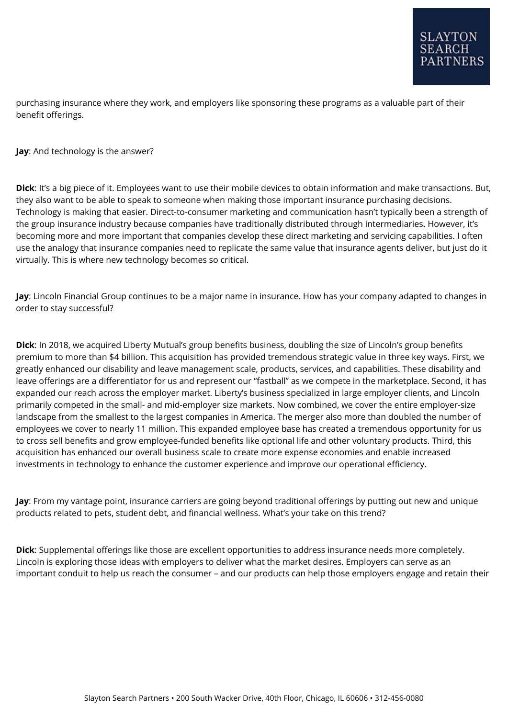purchasing insurance where they work, and employers like sponsoring these programs as a valuable part of their benefit offerings.

**Jay**: And technology is the answer?

**Dick**: It's a big piece of it. Employees want to use their mobile devices to obtain information and make transactions. But, they also want to be able to speak to someone when making those important insurance purchasing decisions. Technology is making that easier. Direct-to-consumer marketing and communication hasn't typically been a strength of the group insurance industry because companies have traditionally distributed through intermediaries. However, it's becoming more and more important that companies develop these direct marketing and servicing capabilities. I often use the analogy that insurance companies need to replicate the same value that insurance agents deliver, but just do it virtually. This is where new technology becomes so critical.

**Jay**: Lincoln Financial Group continues to be a major name in insurance. How has your company adapted to changes in order to stay successful?

**Dick**: In 2018, we acquired Liberty Mutual's group benefits business, doubling the size of Lincoln's group benefits premium to more than \$4 billion. This acquisition has provided tremendous strategic value in three key ways. First, we greatly enhanced our disability and leave management scale, products, services, and capabilities. These disability and leave offerings are a differentiator for us and represent our "fastball" as we compete in the marketplace. Second, it has expanded our reach across the employer market. Liberty's business specialized in large employer clients, and Lincoln primarily competed in the small- and mid-employer size markets. Now combined, we cover the entire employer-size landscape from the smallest to the largest companies in America. The merger also more than doubled the number of employees we cover to nearly 11 million. This expanded employee base has created a tremendous opportunity for us to cross sell benefits and grow employee-funded benefits like optional life and other voluntary products. Third, this acquisition has enhanced our overall business scale to create more expense economies and enable increased investments in technology to enhance the customer experience and improve our operational efficiency.

**Jay**: From my vantage point, insurance carriers are going beyond traditional offerings by putting out new and unique products related to pets, student debt, and financial wellness. What's your take on this trend?

**Dick**: Supplemental offerings like those are excellent opportunities to address insurance needs more completely. Lincoln is exploring those ideas with employers to deliver what the market desires. Employers can serve as an important conduit to help us reach the consumer – and our products can help those employers engage and retain their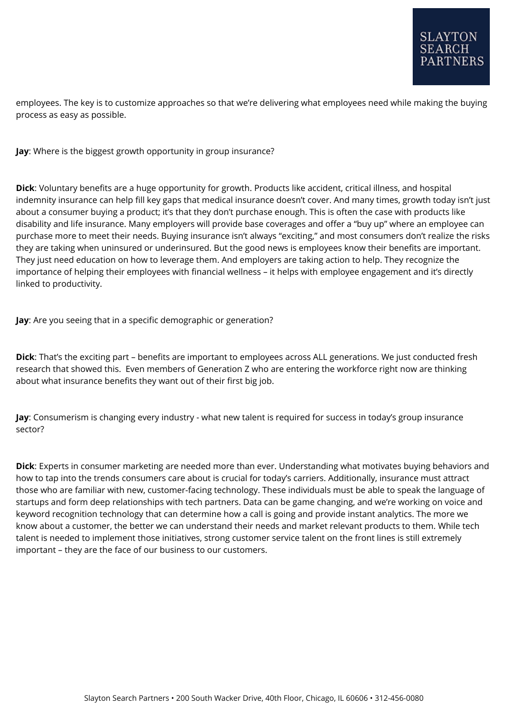employees. The key is to customize approaches so that we're delivering what employees need while making the buying process as easy as possible.

**Jay**: Where is the biggest growth opportunity in group insurance?

**Dick**: Voluntary benefits are a huge opportunity for growth. Products like accident, critical illness, and hospital indemnity insurance can help fill key gaps that medical insurance doesn't cover. And many times, growth today isn't just about a consumer buying a product; it's that they don't purchase enough. This is often the case with products like disability and life insurance. Many employers will provide base coverages and offer a "buy up" where an employee can purchase more to meet their needs. Buying insurance isn't always "exciting," and most consumers don't realize the risks they are taking when uninsured or underinsured. But the good news is employees know their benefits are important. They just need education on how to leverage them. And employers are taking action to help. They recognize the importance of helping their employees with financial wellness – it helps with employee engagement and it's directly linked to productivity.

**Jay**: Are you seeing that in a specific demographic or generation?

**Dick**: That's the exciting part – benefits are important to employees across ALL generations. We just conducted fresh research that showed this. Even members of Generation Z who are entering the workforce right now are thinking about what insurance benefits they want out of their first big job.

**Jay**: Consumerism is changing every industry - what new talent is required for success in today's group insurance sector?

**Dick**: Experts in consumer marketing are needed more than ever. Understanding what motivates buying behaviors and how to tap into the trends consumers care about is crucial for today's carriers. Additionally, insurance must attract those who are familiar with new, customer-facing technology. These individuals must be able to speak the language of startups and form deep relationships with tech partners. Data can be game changing, and we're working on voice and keyword recognition technology that can determine how a call is going and provide instant analytics. The more we know about a customer, the better we can understand their needs and market relevant products to them. While tech talent is needed to implement those initiatives, strong customer service talent on the front lines is still extremely important – they are the face of our business to our customers.